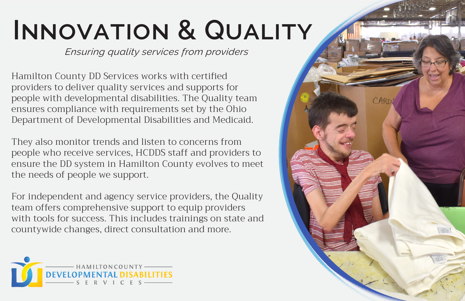## **Innovation & Quality**

*Ensuring quality services from providers*

Hamilton County DD Services works with certified providers to deliver quality services and supports for people with developmental disabilities. The Quality team ensures compliance with requirements set by the Ohio Department of Developmental Disabilities and Medicaid.

They also monitor trends and listen to concerns from people who receive services, HCDDS staff and providers to ensure the DD system in Hamilton County evolves to meet the needs of people we support.

For independent and agency service providers, the Quality team offers comprehensive support to equip providers with tools for success. This includes trainings on state and countywide changes, direct consultation and more.